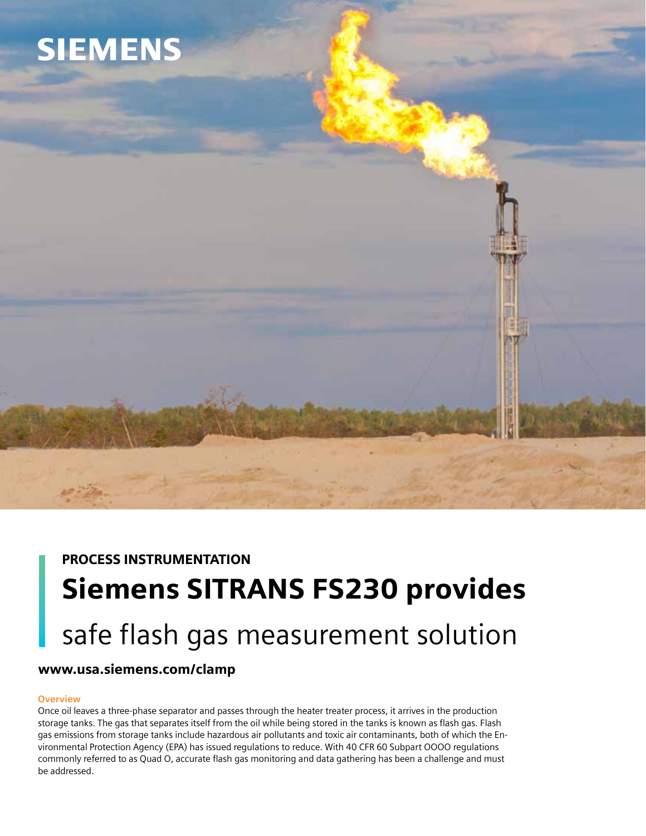# **SIEMENS**



# www.usa.siemens.com/clamp

## **Overview**

Once oil leaves a three-phase separator and passes through the heater treater process, it arrives in the production storage tanks. The gas that separates itself from the oil while being stored in the tanks is known as flash gas. Flash gas emissions from storage tanks include hazardous air pollutants and toxic air contaminants, both of which the Environmental Protection Agency (EPA) has issued regulations to reduce. With 40 CFR 60 Subpart OOOO regulations commonly referred to as Quad O, accurate flash gas monitoring and data gathering has been a challenge and must be addressed.